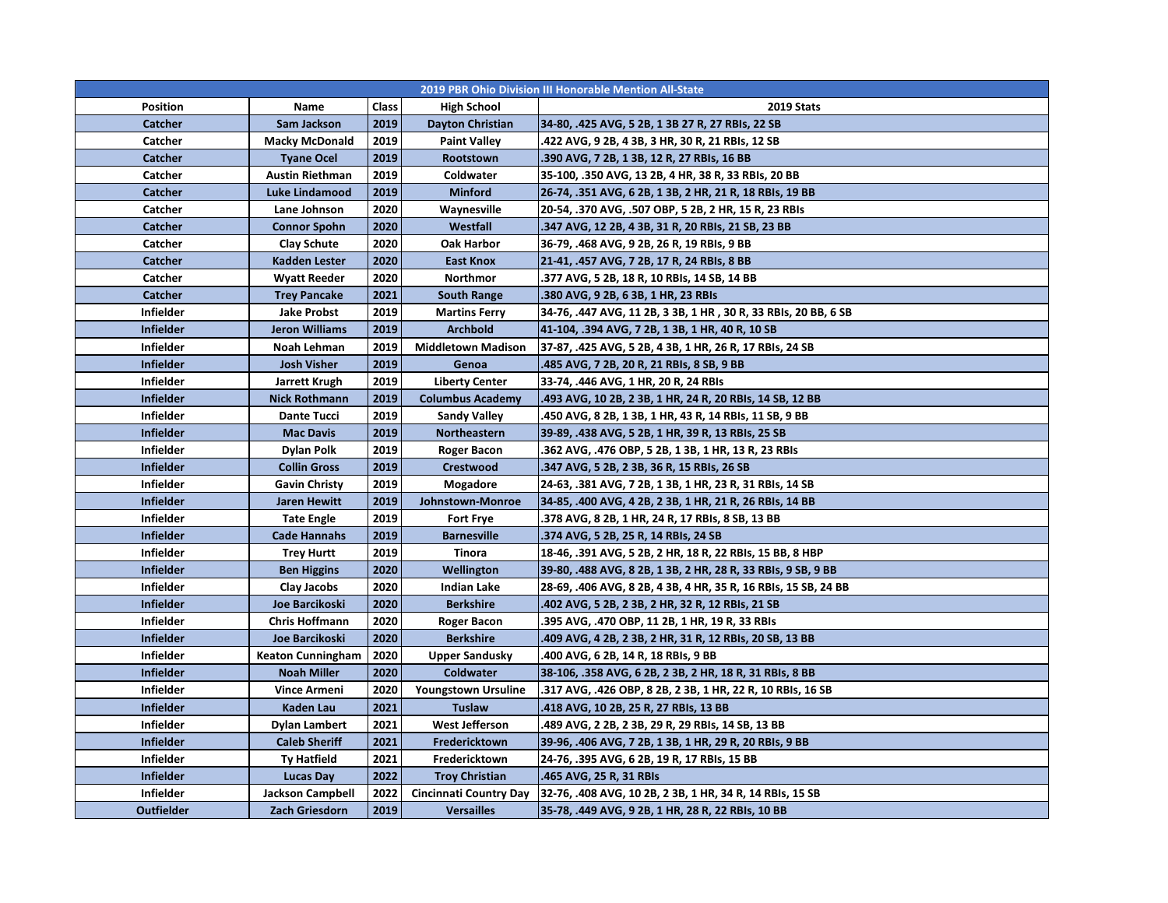| 2019 PBR Ohio Division III Honorable Mention All-State |                          |       |                               |                                                                |  |  |  |
|--------------------------------------------------------|--------------------------|-------|-------------------------------|----------------------------------------------------------------|--|--|--|
| <b>Position</b>                                        | Name                     | Class | <b>High School</b>            | <b>2019 Stats</b>                                              |  |  |  |
| Catcher                                                | Sam Jackson              | 2019  | Dayton Christian              | 34-80, .425 AVG, 5 2B, 1 3B 27 R, 27 RBIs, 22 SB               |  |  |  |
| Catcher                                                | <b>Macky McDonald</b>    | 2019  | <b>Paint Valley</b>           | .422 AVG, 9 2B, 4 3B, 3 HR, 30 R, 21 RBIs, 12 SB               |  |  |  |
| Catcher                                                | <b>Tyane Ocel</b>        | 2019  | Rootstown                     | .390 AVG, 7 2B, 1 3B, 12 R, 27 RBIs, 16 BB                     |  |  |  |
| Catcher                                                | <b>Austin Riethman</b>   | 2019  | Coldwater                     | 35-100, .350 AVG, 13 2B, 4 HR, 38 R, 33 RBIs, 20 BB            |  |  |  |
| Catcher                                                | Luke Lindamood           | 2019  | <b>Minford</b>                | 26-74, .351 AVG, 6 2B, 1 3B, 2 HR, 21 R, 18 RBIs, 19 BB        |  |  |  |
| Catcher                                                | Lane Johnson             | 2020  | Waynesville                   | 20-54, .370 AVG, .507 OBP, 5 2B, 2 HR, 15 R, 23 RBIs           |  |  |  |
| Catcher                                                | <b>Connor Spohn</b>      | 2020  | Westfall                      | .347 AVG, 12 2B, 4 3B, 31 R, 20 RBIs, 21 SB, 23 BB             |  |  |  |
| Catcher                                                | Clay Schute              | 2020  | <b>Oak Harbor</b>             | 36-79, .468 AVG, 9 2B, 26 R, 19 RBIs, 9 BB                     |  |  |  |
| Catcher                                                | Kadden Lester            | 2020  | <b>East Knox</b>              | 21-41, .457 AVG, 7 2B, 17 R, 24 RBIs, 8 BB                     |  |  |  |
| Catcher                                                | <b>Wyatt Reeder</b>      | 2020  | Northmor                      | .377 AVG, 5 2B, 18 R, 10 RBIs, 14 SB, 14 BB                    |  |  |  |
| Catcher                                                | <b>Trey Pancake</b>      | 2021  | <b>South Range</b>            | .380 AVG, 9 2B, 6 3B, 1 HR, 23 RBIs                            |  |  |  |
| <b>Infielder</b>                                       | Jake Probst              | 2019  | <b>Martins Ferry</b>          | 34-76, .447 AVG, 11 2B, 3 3B, 1 HR, 30 R, 33 RBIs, 20 BB, 6 SB |  |  |  |
| <b>Infielder</b>                                       | <b>Jeron Williams</b>    | 2019  | <b>Archbold</b>               | 41-104, .394 AVG, 7 2B, 1 3B, 1 HR, 40 R, 10 SB                |  |  |  |
| <b>Infielder</b>                                       | Noah Lehman              | 2019  | <b>Middletown Madison</b>     | 37-87, .425 AVG, 5 2B, 4 3B, 1 HR, 26 R, 17 RBIs, 24 SB        |  |  |  |
| <b>Infielder</b>                                       | <b>Josh Visher</b>       | 2019  | Genoa                         | .485 AVG, 7 2B, 20 R, 21 RBIs, 8 SB, 9 BB                      |  |  |  |
| Infielder                                              | Jarrett Krugh            | 2019  | <b>Liberty Center</b>         | 33-74, .446 AVG, 1 HR, 20 R, 24 RBIs                           |  |  |  |
| <b>Infielder</b>                                       | <b>Nick Rothmann</b>     | 2019  | <b>Columbus Academy</b>       | .493 AVG, 10 2B, 2 3B, 1 HR, 24 R, 20 RBIs, 14 SB, 12 BB       |  |  |  |
| Infielder                                              | <b>Dante Tucci</b>       | 2019  | <b>Sandy Valley</b>           | .450 AVG, 8 2B, 1 3B, 1 HR, 43 R, 14 RBIs, 11 SB, 9 BB         |  |  |  |
| <b>Infielder</b>                                       | <b>Mac Davis</b>         | 2019  | Northeastern                  | 39-89, .438 AVG, 5 2B, 1 HR, 39 R, 13 RBIs, 25 SB              |  |  |  |
| Infielder                                              | <b>Dylan Polk</b>        | 2019  | <b>Roger Bacon</b>            | .362 AVG, .476 OBP, 5 2B, 1 3B, 1 HR, 13 R, 23 RBIs            |  |  |  |
| <b>Infielder</b>                                       | <b>Collin Gross</b>      | 2019  | Crestwood                     | .347 AVG, 5 2B, 2 3B, 36 R, 15 RBIs, 26 SB                     |  |  |  |
| Infielder                                              | <b>Gavin Christy</b>     | 2019  | Mogadore                      | 24-63, .381 AVG, 7 2B, 1 3B, 1 HR, 23 R, 31 RBIs, 14 SB        |  |  |  |
| <b>Infielder</b>                                       | <b>Jaren Hewitt</b>      | 2019  | Johnstown-Monroe              | 34-85, .400 AVG, 4 2B, 2 3B, 1 HR, 21 R, 26 RBIs, 14 BB        |  |  |  |
| <b>Infielder</b>                                       | <b>Tate Engle</b>        | 2019  | <b>Fort Frye</b>              | .378 AVG, 8 2B, 1 HR, 24 R, 17 RBIs, 8 SB, 13 BB               |  |  |  |
| <b>Infielder</b>                                       | <b>Cade Hannahs</b>      | 2019  | <b>Barnesville</b>            | .374 AVG, 5 2B, 25 R, 14 RBIs, 24 SB                           |  |  |  |
| Infielder                                              | <b>Trey Hurtt</b>        | 2019  | Tinora                        | 18-46, .391 AVG, 5 2B, 2 HR, 18 R, 22 RBIs, 15 BB, 8 HBP       |  |  |  |
| <b>Infielder</b>                                       | <b>Ben Higgins</b>       | 2020  | Wellington                    | 39-80, .488 AVG, 8 2B, 1 3B, 2 HR, 28 R, 33 RBIs, 9 SB, 9 BB   |  |  |  |
| Infielder                                              | Clay Jacobs              | 2020  | Indian Lake                   | 28-69, .406 AVG, 8 2B, 4 3B, 4 HR, 35 R, 16 RBIs, 15 SB, 24 BB |  |  |  |
| <b>Infielder</b>                                       | Joe Barcikoski           | 2020  | <b>Berkshire</b>              | .402 AVG, 5 2B, 2 3B, 2 HR, 32 R, 12 RBIs, 21 SB               |  |  |  |
| <b>Infielder</b>                                       | <b>Chris Hoffmann</b>    | 2020  | Roger Bacon                   | 395 AVG, .470 OBP, 11 2B, 1 HR, 19 R, 33 RBIs                  |  |  |  |
| <b>Infielder</b>                                       | Joe Barcikoski           | 2020  | <b>Berkshire</b>              | .409 AVG, 4 2B, 2 3B, 2 HR, 31 R, 12 RBIs, 20 SB, 13 BB        |  |  |  |
| Infielder                                              | <b>Keaton Cunningham</b> | 2020  | <b>Upper Sandusky</b>         | .400 AVG, 6 2B, 14 R, 18 RBIs, 9 BB                            |  |  |  |
| <b>Infielder</b>                                       | <b>Noah Miller</b>       | 2020  | Coldwater                     | 38-106, .358 AVG, 6 2B, 2 3B, 2 HR, 18 R, 31 RBIs, 8 BB        |  |  |  |
| <b>Infielder</b>                                       | Vince Armeni             | 2020  | <b>Youngstown Ursuline</b>    | .317 AVG, .426 OBP, 8 2B, 2 3B, 1 HR, 22 R, 10 RBIs, 16 SB     |  |  |  |
| <b>Infielder</b>                                       | Kaden Lau                | 2021  | Tuslaw                        | .418 AVG, 10 2B, 25 R, 27 RBIs, 13 BB                          |  |  |  |
| <b>Infielder</b>                                       | Dylan Lambert            | 2021  | West Jefferson                | .489 AVG, 2 2B, 2 3B, 29 R, 29 RBIs, 14 SB, 13 BB              |  |  |  |
| <b>Infielder</b>                                       | <b>Caleb Sheriff</b>     | 2021  | Fredericktown                 | 39-96, .406 AVG, 7 2B, 1 3B, 1 HR, 29 R, 20 RBIs, 9 BB         |  |  |  |
| <b>Infielder</b>                                       | <b>Ty Hatfield</b>       | 2021  | Fredericktown                 | 24-76, .395 AVG, 6 2B, 19 R, 17 RBIs, 15 BB                    |  |  |  |
| <b>Infielder</b>                                       | Lucas Day                | 2022  | <b>Troy Christian</b>         | .465 AVG, 25 R, 31 RBIs                                        |  |  |  |
| <b>Infielder</b>                                       | <b>Jackson Campbell</b>  | 2022  | <b>Cincinnati Country Day</b> | 32-76, .408 AVG, 10 2B, 2 3B, 1 HR, 34 R, 14 RBIs, 15 SB       |  |  |  |
| Outfielder                                             | Zach Griesdorn           | 2019  | <b>Versailles</b>             | 35-78, .449 AVG, 9 2B, 1 HR, 28 R, 22 RBIs, 10 BB              |  |  |  |